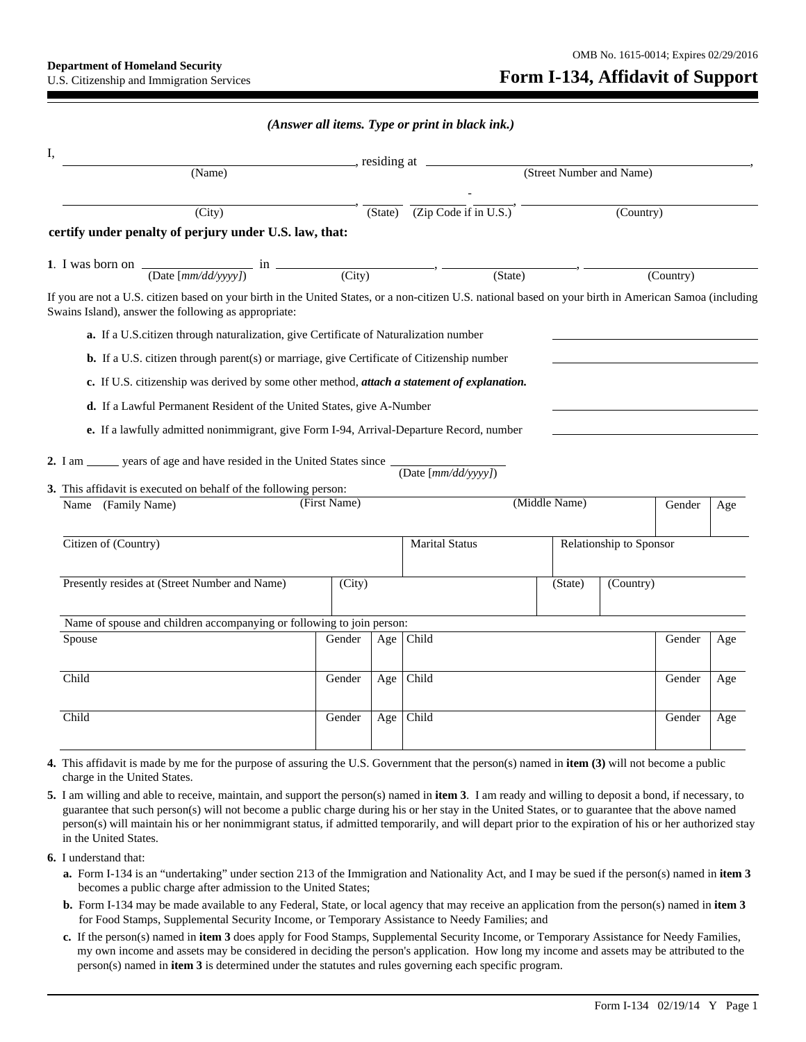## *(Answer all items. Type or print in black ink.)*

| I,<br>$\frac{1}{\sqrt{1-\frac{1}{\sqrt{1-\frac{1}{\sqrt{1-\frac{1}{\sqrt{1-\frac{1}{\sqrt{1-\frac{1}{\sqrt{1-\frac{1}{\sqrt{1-\frac{1}{\sqrt{1-\frac{1}{\sqrt{1-\frac{1}{\sqrt{1-\frac{1}{\sqrt{1-\frac{1}{\sqrt{1-\frac{1}{\sqrt{1-\frac{1}{\sqrt{1-\frac{1}{\sqrt{1-\frac{1}{\sqrt{1-\frac{1}{\sqrt{1-\frac{1}{\sqrt{1-\frac{1}{\sqrt{1-\frac{1}{\sqrt{1-\frac{1}{\sqrt{1-\frac{1}{\sqrt{1-\frac{1}{\sqrt{1-\frac{1}{\sqrt{1-\frac{1$ |              |                          |                                    |               |                         |           |     |  |
|-----------------------------------------------------------------------------------------------------------------------------------------------------------------------------------------------------------------------------------------------------------------------------------------------------------------------------------------------------------------------------------------------------------------------------------------|--------------|--------------------------|------------------------------------|---------------|-------------------------|-----------|-----|--|
| (Name)                                                                                                                                                                                                                                                                                                                                                                                                                                  |              | (Street Number and Name) |                                    |               |                         |           |     |  |
| (City)                                                                                                                                                                                                                                                                                                                                                                                                                                  |              | (State)                  | $\overline{(Zip Code if in U.S.)}$ |               |                         | (Country) |     |  |
| certify under penalty of perjury under U.S. law, that:                                                                                                                                                                                                                                                                                                                                                                                  |              |                          |                                    |               |                         |           |     |  |
| 1. I was born on $\frac{1}{\frac{(\text{Date}[mm/dd/yyyy])}{\text{Date}[mm/dd/yyyy])}}$ in $\frac{(\text{City})}{\text{List}}$                                                                                                                                                                                                                                                                                                          |              |                          | $\overline{\text{(State)}}$        |               |                         | (Country) |     |  |
| If you are not a U.S. citizen based on your birth in the United States, or a non-citizen U.S. national based on your birth in American Samoa (including<br>Swains Island), answer the following as appropriate:                                                                                                                                                                                                                         |              |                          |                                    |               |                         |           |     |  |
| a. If a U.S.citizen through naturalization, give Certificate of Naturalization number                                                                                                                                                                                                                                                                                                                                                   |              |                          |                                    |               |                         |           |     |  |
| <b>b.</b> If a U.S. citizen through parent(s) or marriage, give Certificate of Citizenship number                                                                                                                                                                                                                                                                                                                                       |              |                          |                                    |               |                         |           |     |  |
| c. If U.S. citizenship was derived by some other method, <i>attach a statement of explanation</i> .                                                                                                                                                                                                                                                                                                                                     |              |                          |                                    |               |                         |           |     |  |
| d. If a Lawful Permanent Resident of the United States, give A-Number                                                                                                                                                                                                                                                                                                                                                                   |              |                          |                                    |               |                         |           |     |  |
|                                                                                                                                                                                                                                                                                                                                                                                                                                         |              |                          |                                    |               |                         |           |     |  |
|                                                                                                                                                                                                                                                                                                                                                                                                                                         |              |                          |                                    |               |                         |           |     |  |
| e. If a lawfully admitted nonimmigrant, give Form I-94, Arrival-Departure Record, number                                                                                                                                                                                                                                                                                                                                                |              |                          |                                    |               |                         |           |     |  |
|                                                                                                                                                                                                                                                                                                                                                                                                                                         |              |                          |                                    |               |                         |           |     |  |
|                                                                                                                                                                                                                                                                                                                                                                                                                                         |              |                          | (Date [ $mm/dd/vvvv$ ])            |               |                         |           |     |  |
| 2. I am ______ years of age and have resided in the United States since _________<br>3. This affidavit is executed on behalf of the following person:<br>Name (Family Name)                                                                                                                                                                                                                                                             | (First Name) |                          |                                    | (Middle Name) |                         | Gender    | Age |  |
| Citizen of (Country)                                                                                                                                                                                                                                                                                                                                                                                                                    |              |                          | <b>Marital Status</b>              |               | Relationship to Sponsor |           |     |  |
|                                                                                                                                                                                                                                                                                                                                                                                                                                         |              |                          |                                    |               |                         |           |     |  |
| Presently resides at (Street Number and Name)                                                                                                                                                                                                                                                                                                                                                                                           | (City)       |                          |                                    | (State)       | (Country)               |           |     |  |
| Name of spouse and children accompanying or following to join person:                                                                                                                                                                                                                                                                                                                                                                   |              |                          |                                    |               |                         |           |     |  |
| Spouse                                                                                                                                                                                                                                                                                                                                                                                                                                  | Gender       | Age $ $                  | Child                              |               |                         | Gender    | Age |  |
| Child                                                                                                                                                                                                                                                                                                                                                                                                                                   | Gender       | Age $ $                  | Child                              |               |                         | Gender    | Age |  |

**4.** This affidavit is made by me for the purpose of assuring the U.S. Government that the person(s) named in **item (3)** will not become a public charge in the United States.

- **5.** I am willing and able to receive, maintain, and support the person(s) named in **item 3**. I am ready and willing to deposit a bond, if necessary, to guarantee that such person(s) will not become a public charge during his or her stay in the United States, or to guarantee that the above named person(s) will maintain his or her nonimmigrant status, if admitted temporarily, and will depart prior to the expiration of his or her authorized stay in the United States.
- **6.** I understand that:
	- **a.** Form I-134 is an "undertaking" under section 213 of the Immigration and Nationality Act, and I may be sued if the person(s) named in **item 3** becomes a public charge after admission to the United States;
	- **b.** Form I-134 may be made available to any Federal, State, or local agency that may receive an application from the person(s) named in **item 3** for Food Stamps, Supplemental Security Income, or Temporary Assistance to Needy Families; and
	- **c.** If the person(s) named in **item 3** does apply for Food Stamps, Supplemental Security Income, or Temporary Assistance for Needy Families, my own income and assets may be considered in deciding the person's application. How long my income and assets may be attributed to the person(s) named in **item 3** is determined under the statutes and rules governing each specific program.